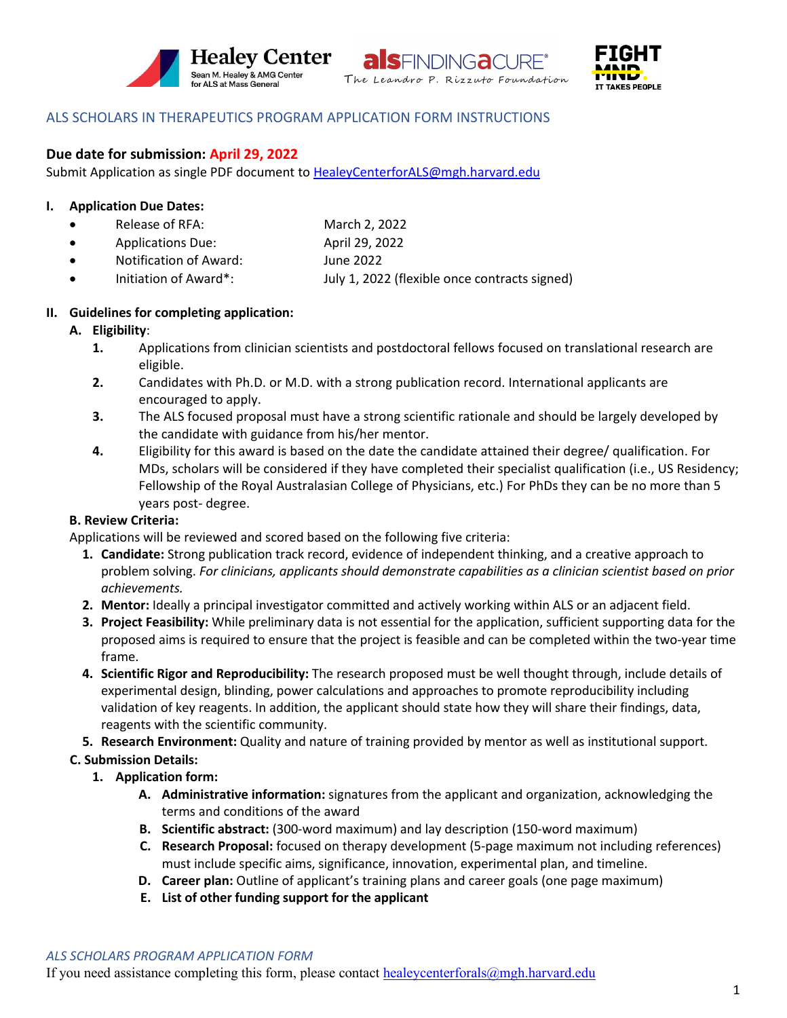





# ALS SCHOLARS IN THERAPEUTICS PROGRAM APPLICATION FORM INSTRUCTIONS

## **Due date for submission: April 29, 2022**

Submit Application as single PDF document to [HealeyCenterforALS@mgh.harvard.edu](mailto:HealeyCenterforALS@mgh.harvard.edu)

### **I. Application Due Dates:**

- Release of RFA: • Applications Due: March 2, 2022 April 29, 2022
- Notification of Award: June 2022
- Initiation of Award\*: July 1, 2022 (flexible once contracts signed)
- 

# **II. Guidelines for completing application:**

## **A. Eligibility**:

- **1.** Applications from clinician scientists and postdoctoral fellows focused on translational research are eligible.
- **2.** Candidates with Ph.D. or M.D. with a strong publication record. International applicants are encouraged to apply.
- **3.** The ALS focused proposal must have a strong scientific rationale and should be largely developed by the candidate with guidance from his/her mentor.
- **4.** Eligibility for this award is based on the date the candidate attained their degree/ qualification. For MDs, scholars will be considered if they have completed their specialist qualification (i.e., US Residency; Fellowship of the Royal Australasian College of Physicians, etc.) For PhDs they can be no more than 5 years post- degree.

# **B. Review Criteria:**

Applications will be reviewed and scored based on the following five criteria:

- **1. Candidate:** Strong publication track record, evidence of independent thinking, and a creative approach to problem solving. *For clinicians, applicants should demonstrate capabilities as a clinician scientist based on prior achievements.*
- **2. Mentor:** Ideally a principal investigator committed and actively working within ALS or an adjacent field.
- **3. Project Feasibility:** While preliminary data is not essential for the application, sufficient supporting data for the proposed aims is required to ensure that the project is feasible and can be completed within the two-year time frame.
- **4. Scientific Rigor and Reproducibility:** The research proposed must be well thought through, include details of experimental design, blinding, power calculations and approaches to promote reproducibility including validation of key reagents. In addition, the applicant should state how they will share their findings, data, reagents with the scientific community.
- **5. Research Environment:** Quality and nature of training provided by mentor as well as institutional support.

# **C. Submission Details:**

- **1. Application form:**
	- **A. Administrative information:** signatures from the applicant and organization, acknowledging the terms and conditions of the award
	- **B. Scientific abstract:** (300-word maximum) and lay description (150-word maximum)
	- **C. Research Proposal:** focused on therapy development (5-page maximum not including references) must include specific aims, significance, innovation, experimental plan, and timeline.
	- **D. Career plan:** Outline of applicant's training plans and career goals (one page maximum)
	- **E. List of other funding support for the applicant**

If you need assistance completing this form, please contact healeycenterforals $(\partial_t mgh)$ .harvard.edu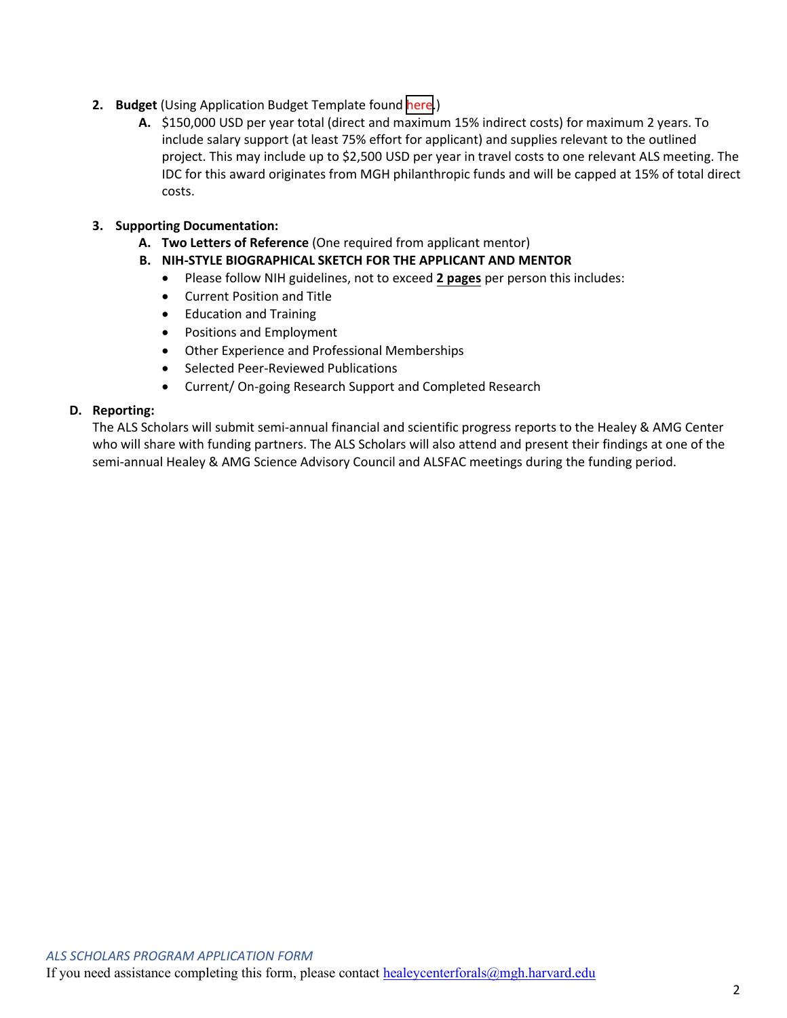- **2. Budget** (Using Application Budget Template found [here.](https://www.massgeneral.org/assets/MGH/pdf/neurology/als/Healey_Scholars_Application_Budget_Template.xlsx))
	- **A.** \$150,000 USD per year total (direct and maximum 15% indirect costs) for maximum 2 years. To include salary support (at least 75% effort for applicant) and supplies relevant to the outlined project. This may include up to \$2,500 USD per year in travel costs to one relevant ALS meeting. The IDC for this award originates from MGH philanthropic funds and will be capped at 15% of total direct costs.

# **3. Supporting Documentation:**

- **A. Two Letters of Reference** (One required from applicant mentor)
- **B. NIH-STYLE BIOGRAPHICAL SKETCH FOR THE APPLICANT AND MENTOR**
	- Please follow NIH guidelines, not to exceed **2 pages** per person this includes:
	- Current Position and Title
	- Education and Training
	- Positions and Employment
	- Other Experience and Professional Memberships
	- Selected Peer-Reviewed Publications
	- Current/ On-going Research Support and Completed Research

## **D. Reporting:**

The ALS Scholars will submit semi-annual financial and scientific progress reports to the Healey & AMG Center who will share with funding partners. The ALS Scholars will also attend and present their findings at one of the semi-annual Healey & AMG Science Advisory Council and ALSFAC meetings during the funding period.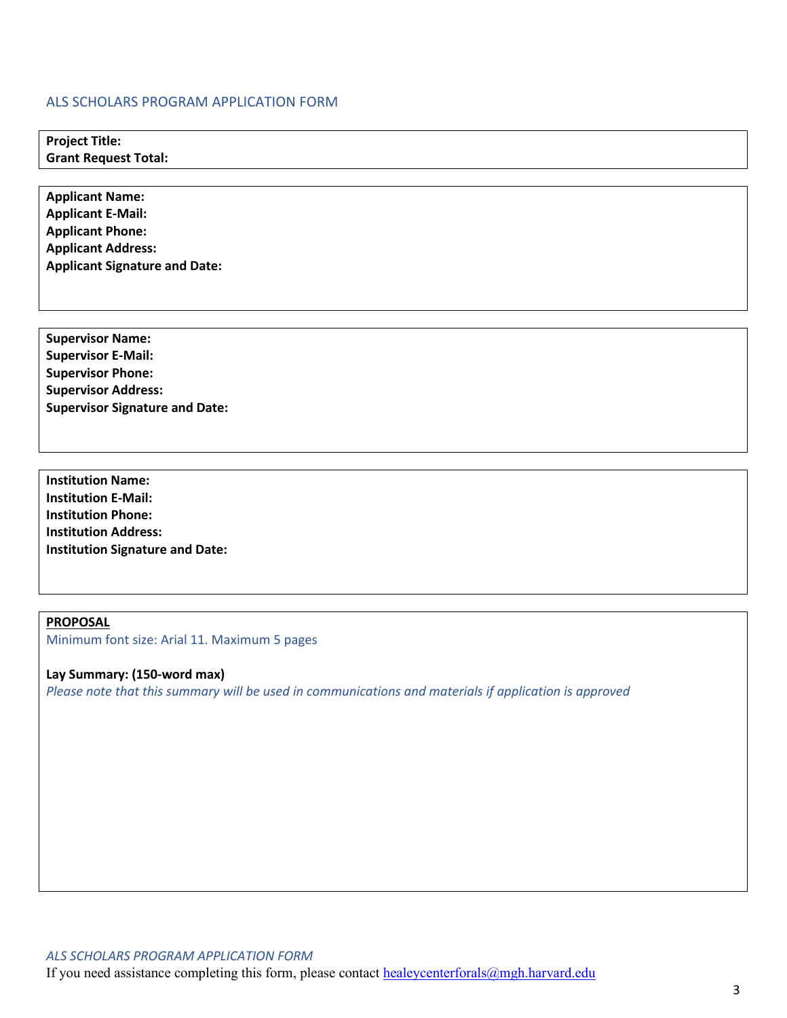#### ALS SCHOLARS PROGRAM APPLICATION FORM

**Project Title: Grant Request Total:**

**Applicant Name: Applicant E-Mail: Applicant Phone: Applicant Address: Applicant Signature and Date:**

**Supervisor Name: Supervisor E-Mail: Supervisor Phone: Supervisor Address: Supervisor Signature and Date:**

**Institution Name: Institution E-Mail: Institution Phone: Institution Address: Institution Signature and Date:**

**PROPOSAL** Minimum font size: Arial 11. Maximum 5 pages

**Lay Summary: (150-word max)**  *Please note that this summary will be used in communications and materials if application is approved*

*ALS SCHOLARS PROGRAM APPLICATION FORM* If you need assistance completing this form, please contact healeycenterforals $(\partial_m g h \cdot h \cdot \partial_r g)$ .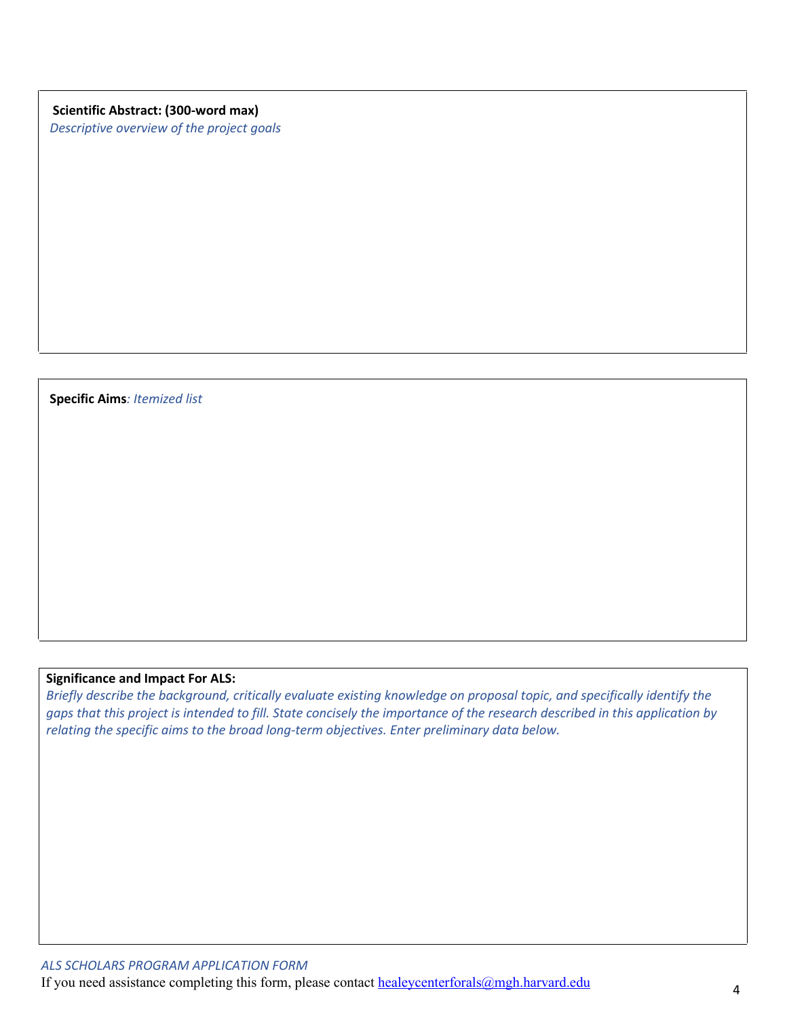**Scientific Abstract: (300-word max)**  *Descriptive overview of the project goals*

**Specific Aims***: Itemized list* 

## **Significance and Impact For ALS:**

*Briefly describe the background, critically evaluate existing knowledge on proposal topic, and specifically identify the gaps that this project is intended to fill. State concisely the importance of the research described in this application by relating the specific aims to the broad long-term objectives. Enter preliminary data below.*

If you need assistance completing this form, please contact **healeycenterforals@mgh.harvard.edu** 4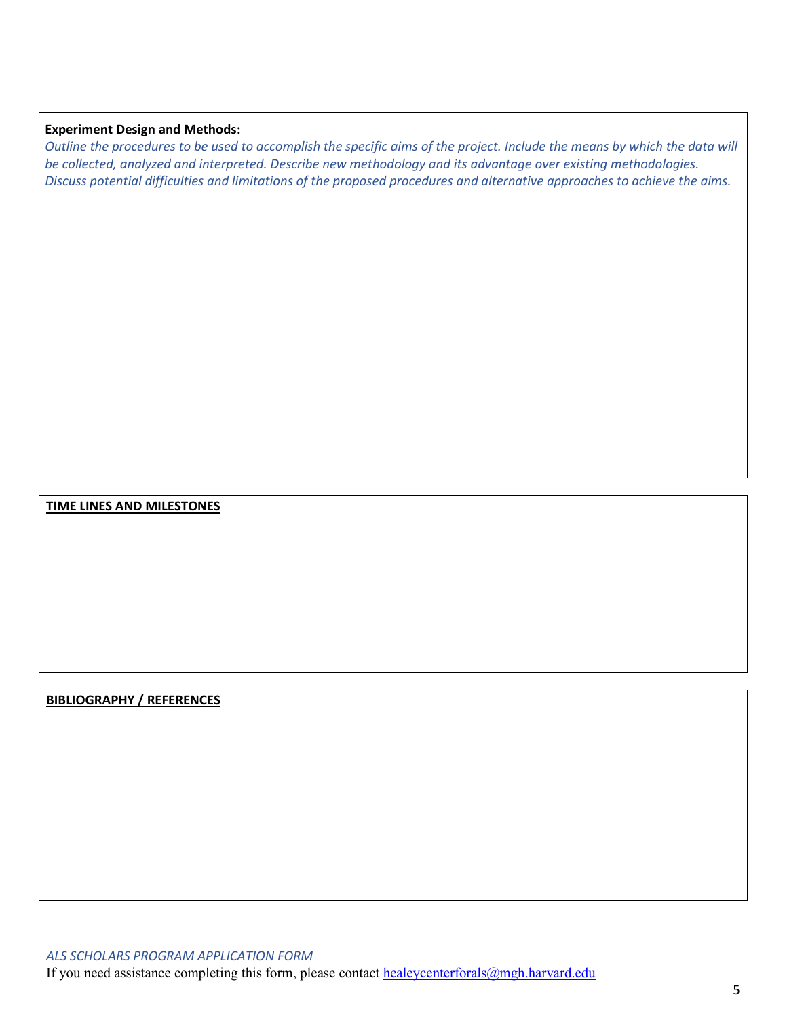#### **Experiment Design and Methods:**

*Outline the procedures to be used to accomplish the specific aims of the project. Include the means by which the data will be collected, analyzed and interpreted. Describe new methodology and its advantage over existing methodologies. Discuss potential difficulties and limitations of the proposed procedures and alternative approaches to achieve the aims.* 

#### **TIME LINES AND MILESTONES**

### **BIBLIOGRAPHY / REFERENCES**

*ALS SCHOLARS PROGRAM APPLICATION FORM* If you need assistance completing this form, please contact [healeycenterforals@mgh.harvard.edu](mailto:healeycenterforals@mgh.harvard.edu)